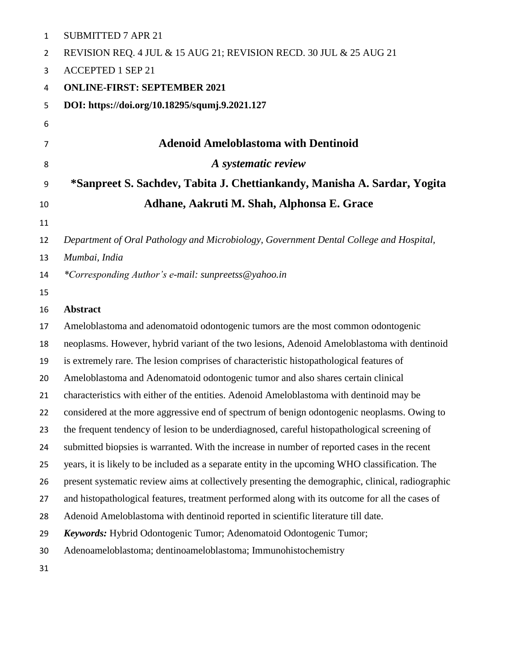| $\mathbf{1}$ | <b>SUBMITTED 7 APR 21</b>                                                                         |
|--------------|---------------------------------------------------------------------------------------------------|
| 2            | REVISION REQ. 4 JUL & 15 AUG 21; REVISION RECD. 30 JUL & 25 AUG 21                                |
| 3            | <b>ACCEPTED 1 SEP 21</b>                                                                          |
| 4            | <b>ONLINE-FIRST: SEPTEMBER 2021</b>                                                               |
| 5            | DOI: https://doi.org/10.18295/squmj.9.2021.127                                                    |
| 6            |                                                                                                   |
| 7            | <b>Adenoid Ameloblastoma with Dentinoid</b>                                                       |
| 8            | A systematic review                                                                               |
| 9            | *Sanpreet S. Sachdev, Tabita J. Chettiankandy, Manisha A. Sardar, Yogita                          |
| 10           | Adhane, Aakruti M. Shah, Alphonsa E. Grace                                                        |
| 11           |                                                                                                   |
| 12           | Department of Oral Pathology and Microbiology, Government Dental College and Hospital,            |
| 13           | Mumbai, India                                                                                     |
| 14           | *Corresponding Author's e-mail: sunpreetss@yahoo.in                                               |
| 15           |                                                                                                   |
| 16           | <b>Abstract</b>                                                                                   |
| 17           | Ameloblastoma and adenomatoid odontogenic tumors are the most common odontogenic                  |
| 18           | neoplasms. However, hybrid variant of the two lesions, Adenoid Ameloblastoma with dentinoid       |
| 19           | is extremely rare. The lesion comprises of characteristic histopathological features of           |
| 20           | Ameloblastoma and Adenomatoid odontogenic tumor and also shares certain clinical                  |
| 21           | characteristics with either of the entities. Adenoid Ameloblastoma with dentinoid may be          |
| 22           | considered at the more aggressive end of spectrum of benign odontogenic neoplasms. Owing to       |
| 23           | the frequent tendency of lesion to be underdiagnosed, careful histopathological screening of      |
| 24           | submitted biopsies is warranted. With the increase in number of reported cases in the recent      |
| 25           | years, it is likely to be included as a separate entity in the upcoming WHO classification. The   |
| 26           | present systematic review aims at collectively presenting the demographic, clinical, radiographic |
| 27           | and histopathological features, treatment performed along with its outcome for all the cases of   |
| 28           | Adenoid Ameloblastoma with dentinoid reported in scientific literature till date.                 |
| 29           | Keywords: Hybrid Odontogenic Tumor; Adenomatoid Odontogenic Tumor;                                |
| 30           | Adenoameloblastoma; dentinoameloblastoma; Immunohistochemistry                                    |
| 31           |                                                                                                   |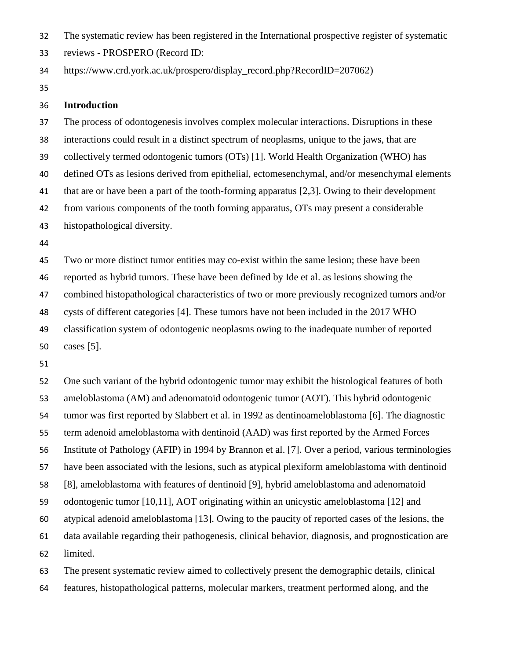The systematic review has been registered in the International prospective register of systematic

reviews - PROSPERO (Record ID:

[https://www.crd.york.ac.uk/prospero/display\\_record.php?RecordID=207062\)](https://www.crd.york.ac.uk/prospero/display_record.php?RecordID=207062)

#### **Introduction**

 The process of odontogenesis involves complex molecular interactions. Disruptions in these interactions could result in a distinct spectrum of neoplasms, unique to the jaws, that are collectively termed odontogenic tumors (OTs) [1]. World Health Organization (WHO) has defined OTs as lesions derived from epithelial, ectomesenchymal, and/or mesenchymal elements that are or have been a part of the tooth-forming apparatus [2,3]. Owing to their development from various components of the tooth forming apparatus, OTs may present a considerable histopathological diversity. 

 Two or more distinct tumor entities may co-exist within the same lesion; these have been reported as hybrid tumors. These have been defined by Ide et al. as lesions showing the combined histopathological characteristics of two or more previously recognized tumors and/or cysts of different categories [4]. These tumors have not been included in the 2017 WHO classification system of odontogenic neoplasms owing to the inadequate number of reported cases [5].

 One such variant of the hybrid odontogenic tumor may exhibit the histological features of both ameloblastoma (AM) and adenomatoid odontogenic tumor (AOT). This hybrid odontogenic tumor was first reported by Slabbert et al. in 1992 as dentinoameloblastoma [6]. The diagnostic term adenoid ameloblastoma with dentinoid (AAD) was first reported by the Armed Forces Institute of Pathology (AFIP) in 1994 by Brannon et al. [7]. Over a period, various terminologies have been associated with the lesions, such as atypical plexiform ameloblastoma with dentinoid [8], ameloblastoma with features of dentinoid [9], hybrid ameloblastoma and adenomatoid odontogenic tumor [10,11], AOT originating within an unicystic ameloblastoma [12] and atypical adenoid ameloblastoma [13]. Owing to the paucity of reported cases of the lesions, the data available regarding their pathogenesis, clinical behavior, diagnosis, and prognostication are limited. The present systematic review aimed to collectively present the demographic details, clinical

features, histopathological patterns, molecular markers, treatment performed along, and the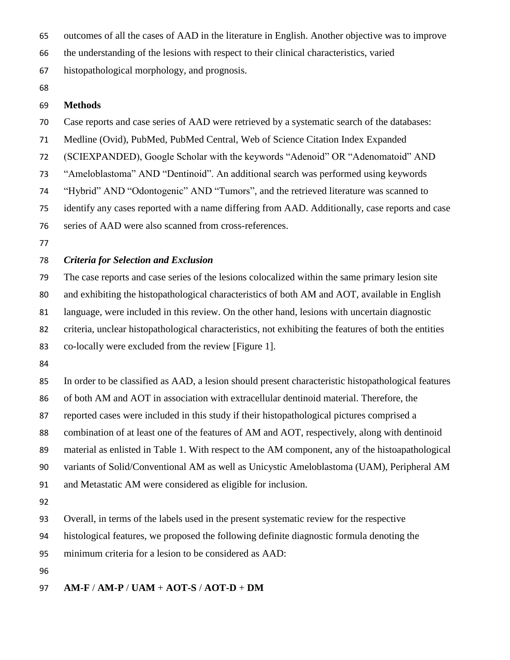outcomes of all the cases of AAD in the literature in English. Another objective was to improve

the understanding of the lesions with respect to their clinical characteristics, varied

histopathological morphology, and prognosis.

## **Methods**

Case reports and case series of AAD were retrieved by a systematic search of the databases:

Medline (Ovid), PubMed, PubMed Central, Web of Science Citation Index Expanded

(SCIEXPANDED), Google Scholar with the keywords "Adenoid" OR "Adenomatoid" AND

"Ameloblastoma" AND "Dentinoid". An additional search was performed using keywords

"Hybrid" AND "Odontogenic" AND "Tumors", and the retrieved literature was scanned to

identify any cases reported with a name differing from AAD. Additionally, case reports and case

series of AAD were also scanned from cross-references.

# *Criteria for Selection and Exclusion*

 The case reports and case series of the lesions colocalized within the same primary lesion site and exhibiting the histopathological characteristics of both AM and AOT, available in English language, were included in this review. On the other hand, lesions with uncertain diagnostic criteria, unclear histopathological characteristics, not exhibiting the features of both the entities co-locally were excluded from the review [Figure 1].

 In order to be classified as AAD, a lesion should present characteristic histopathological features of both AM and AOT in association with extracellular dentinoid material. Therefore, the reported cases were included in this study if their histopathological pictures comprised a combination of at least one of the features of AM and AOT, respectively, along with dentinoid material as enlisted in Table 1. With respect to the AM component, any of the histoapathological variants of Solid/Conventional AM as well as Unicystic Ameloblastoma (UAM), Peripheral AM and Metastatic AM were considered as eligible for inclusion. 

Overall, in terms of the labels used in the present systematic review for the respective

histological features, we proposed the following definite diagnostic formula denoting the

minimum criteria for a lesion to be considered as AAD:

**AM-F** / **AM-P** / **UAM** + **AOT-S** / **AOT-D** + **DM**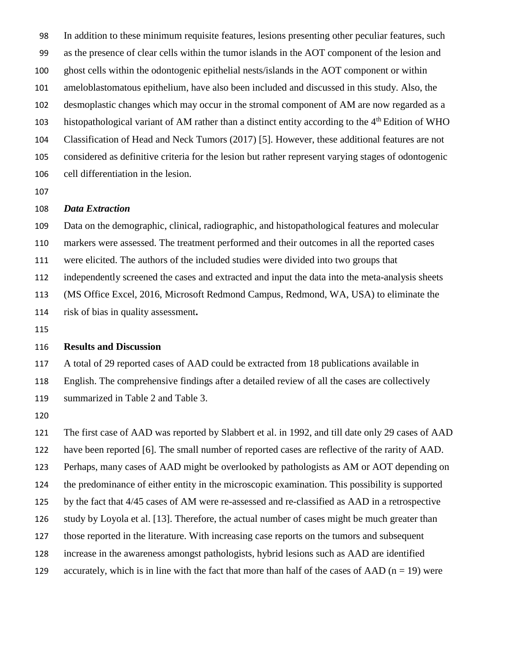In addition to these minimum requisite features, lesions presenting other peculiar features, such as the presence of clear cells within the tumor islands in the AOT component of the lesion and ghost cells within the odontogenic epithelial nests/islands in the AOT component or within ameloblastomatous epithelium, have also been included and discussed in this study. Also, the desmoplastic changes which may occur in the stromal component of AM are now regarded as a histopathological variant of AM rather than a distinct entity according to the 4<sup>th</sup> Edition of WHO Classification of Head and Neck Tumors (2017) [5]. However, these additional features are not considered as definitive criteria for the lesion but rather represent varying stages of odontogenic cell differentiation in the lesion.

#### *Data Extraction*

 Data on the demographic, clinical, radiographic, and histopathological features and molecular markers were assessed. The treatment performed and their outcomes in all the reported cases were elicited. The authors of the included studies were divided into two groups that independently screened the cases and extracted and input the data into the meta-analysis sheets (MS Office Excel, 2016, Microsoft Redmond Campus, Redmond, WA, USA) to eliminate the risk of bias in quality assessment**.**

## **Results and Discussion**

 A total of 29 reported cases of AAD could be extracted from 18 publications available in English. The comprehensive findings after a detailed review of all the cases are collectively summarized in Table 2 and Table 3.

 The first case of AAD was reported by Slabbert et al. in 1992, and till date only 29 cases of AAD have been reported [6]. The small number of reported cases are reflective of the rarity of AAD. Perhaps, many cases of AAD might be overlooked by pathologists as AM or AOT depending on the predominance of either entity in the microscopic examination. This possibility is supported by the fact that 4/45 cases of AM were re-assessed and re-classified as AAD in a retrospective study by Loyola et al. [13]. Therefore, the actual number of cases might be much greater than those reported in the literature. With increasing case reports on the tumors and subsequent increase in the awareness amongst pathologists, hybrid lesions such as AAD are identified 129 accurately, which is in line with the fact that more than half of the cases of AAD ( $n = 19$ ) were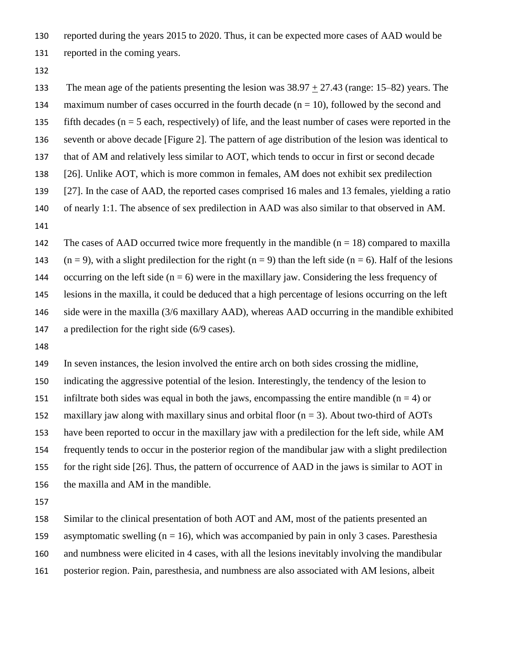reported during the years 2015 to 2020. Thus, it can be expected more cases of AAD would be reported in the coming years.

 The mean age of the patients presenting the lesion was 38.97 + 27.43 (range: 15–82) years. The 134 maximum number of cases occurred in the fourth decade  $(n = 10)$ , followed by the second and 135 fifth decades ( $n = 5$  each, respectively) of life, and the least number of cases were reported in the seventh or above decade [Figure 2]. The pattern of age distribution of the lesion was identical to that of AM and relatively less similar to AOT, which tends to occur in first or second decade [26]. Unlike AOT, which is more common in females, AM does not exhibit sex predilection [27]. In the case of AAD, the reported cases comprised 16 males and 13 females, yielding a ratio of nearly 1:1. The absence of sex predilection in AAD was also similar to that observed in AM. 142 The cases of AAD occurred twice more frequently in the mandible  $(n = 18)$  compared to maxilla 143 (n = 9), with a slight predilection for the right (n = 9) than the left side (n = 6). Half of the lesions

144 occurring on the left side  $(n = 6)$  were in the maxillary jaw. Considering the less frequency of

lesions in the maxilla, it could be deduced that a high percentage of lesions occurring on the left

side were in the maxilla (3/6 maxillary AAD), whereas AAD occurring in the mandible exhibited

a predilection for the right side (6/9 cases).

 In seven instances, the lesion involved the entire arch on both sides crossing the midline, indicating the aggressive potential of the lesion. Interestingly, the tendency of the lesion to 151 infiltrate both sides was equal in both the jaws, encompassing the entire mandible  $(n = 4)$  or 152 maxillary jaw along with maxillary sinus and orbital floor  $(n = 3)$ . About two-third of AOTs have been reported to occur in the maxillary jaw with a predilection for the left side, while AM frequently tends to occur in the posterior region of the mandibular jaw with a slight predilection for the right side [26]. Thus, the pattern of occurrence of AAD in the jaws is similar to AOT in the maxilla and AM in the mandible.

 Similar to the clinical presentation of both AOT and AM, most of the patients presented an asymptomatic swelling (n = 16), which was accompanied by pain in only 3 cases. Paresthesia and numbness were elicited in 4 cases, with all the lesions inevitably involving the mandibular posterior region. Pain, paresthesia, and numbness are also associated with AM lesions, albeit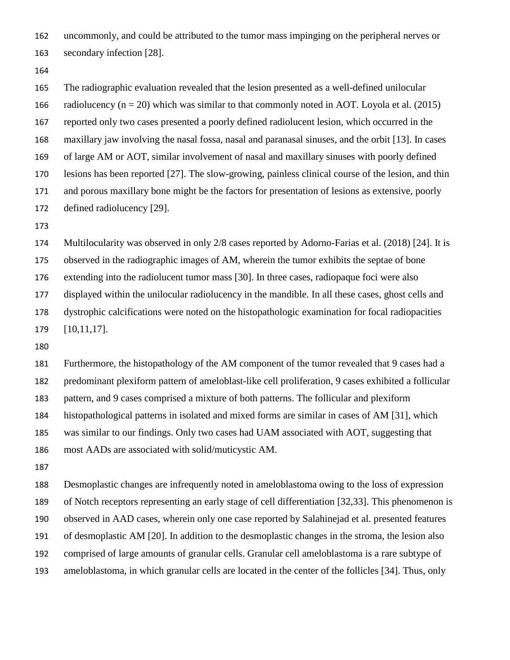uncommonly, and could be attributed to the tumor mass impinging on the peripheral nerves or secondary infection [28].

 The radiographic evaluation revealed that the lesion presented as a well-defined unilocular 166 radiolucency ( $n = 20$ ) which was similar to that commonly noted in AOT. Loyola et al. (2015) reported only two cases presented a poorly defined radiolucent lesion, which occurred in the maxillary jaw involving the nasal fossa, nasal and paranasal sinuses, and the orbit [13]. In cases of large AM or AOT, similar involvement of nasal and maxillary sinuses with poorly defined lesions has been reported [27]. The slow-growing, painless clinical course of the lesion, and thin and porous maxillary bone might be the factors for presentation of lesions as extensive, poorly defined radiolucency [29].

 Multilocularity was observed in only 2/8 cases reported by Adorno-Farias et al. (2018) [24]. It is observed in the radiographic images of AM, wherein the tumor exhibits the septae of bone extending into the radiolucent tumor mass [30]. In three cases, radiopaque foci were also displayed within the unilocular radiolucency in the mandible. In all these cases, ghost cells and dystrophic calcifications were noted on the histopathologic examination for focal radiopacities [10,11,17].

 Furthermore, the histopathology of the AM component of the tumor revealed that 9 cases had a predominant plexiform pattern of ameloblast-like cell proliferation, 9 cases exhibited a follicular pattern, and 9 cases comprised a mixture of both patterns. The follicular and plexiform histopathological patterns in isolated and mixed forms are similar in cases of AM [31], which was similar to our findings. Only two cases had UAM associated with AOT, suggesting that most AADs are associated with solid/muticystic AM.

 Desmoplastic changes are infrequently noted in ameloblastoma owing to the loss of expression of Notch receptors representing an early stage of cell differentiation [32,33]. This phenomenon is observed in AAD cases, wherein only one case reported by Salahinejad et al. presented features of desmoplastic AM [20]. In addition to the desmoplastic changes in the stroma, the lesion also comprised of large amounts of granular cells. Granular cell ameloblastoma is a rare subtype of ameloblastoma, in which granular cells are located in the center of the follicles [34]. Thus, only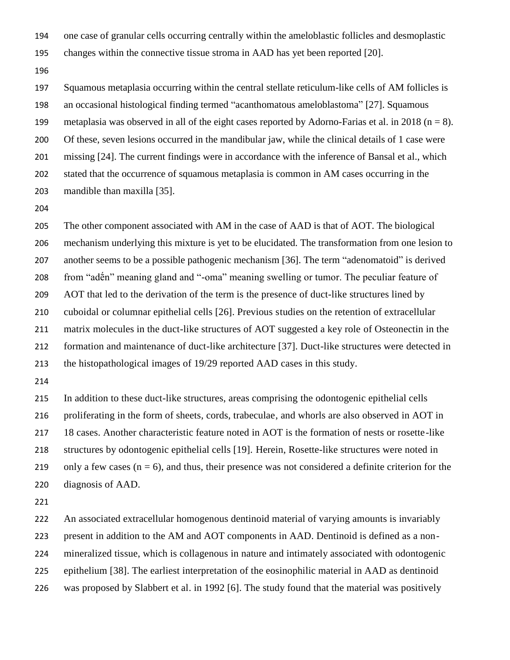- one case of granular cells occurring centrally within the ameloblastic follicles and desmoplastic
- changes within the connective tissue stroma in AAD has yet been reported [20].
- 

 Squamous metaplasia occurring within the central stellate reticulum-like cells of AM follicles is an occasional histological finding termed "acanthomatous ameloblastoma" [27]. Squamous 199 metaplasia was observed in all of the eight cases reported by Adorno-Farias et al. in 2018 ( $n = 8$ ). Of these, seven lesions occurred in the mandibular jaw, while the clinical details of 1 case were missing [24]. The current findings were in accordance with the inference of Bansal et al., which stated that the occurrence of squamous metaplasia is common in AM cases occurring in the mandible than maxilla [35].

 The other component associated with AM in the case of AAD is that of AOT. The biological mechanism underlying this mixture is yet to be elucidated. The transformation from one lesion to another seems to be a possible pathogenic mechanism [36]. The term "adenomatoid" is derived from "adḗn" meaning gland and "-oma" meaning swelling or tumor. The peculiar feature of AOT that led to the derivation of the term is the presence of duct-like structures lined by cuboidal or columnar epithelial cells [26]. Previous studies on the retention of extracellular matrix molecules in the duct-like structures of AOT suggested a key role of Osteonectin in the formation and maintenance of duct-like architecture [37]. Duct-like structures were detected in the histopathological images of 19/29 reported AAD cases in this study.

 In addition to these duct-like structures, areas comprising the odontogenic epithelial cells proliferating in the form of sheets, cords, trabeculae, and whorls are also observed in AOT in 18 cases. Another characteristic feature noted in AOT is the formation of nests or rosette-like structures by odontogenic epithelial cells [19]. Herein, Rosette-like structures were noted in 219 only a few cases  $(n = 6)$ , and thus, their presence was not considered a definite criterion for the diagnosis of AAD.

 An associated extracellular homogenous dentinoid material of varying amounts is invariably present in addition to the AM and AOT components in AAD. Dentinoid is defined as a non- mineralized tissue, which is collagenous in nature and intimately associated with odontogenic epithelium [38]. The earliest interpretation of the eosinophilic material in AAD as dentinoid was proposed by Slabbert et al. in 1992 [6]. The study found that the material was positively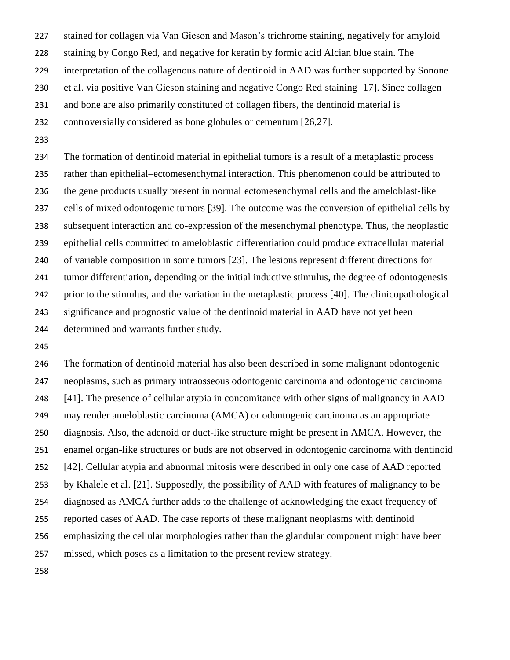stained for collagen via Van Gieson and Mason's trichrome staining, negatively for amyloid staining by Congo Red, and negative for keratin by formic acid Alcian blue stain. The interpretation of the collagenous nature of dentinoid in AAD was further supported by Sonone et al. via positive Van Gieson staining and negative Congo Red staining [17]. Since collagen and bone are also primarily constituted of collagen fibers, the dentinoid material is controversially considered as bone globules or cementum [26,27].

 The formation of dentinoid material in epithelial tumors is a result of a metaplastic process rather than epithelial–ectomesenchymal interaction. This phenomenon could be attributed to the gene products usually present in normal ectomesenchymal cells and the ameloblast-like cells of mixed odontogenic tumors [39]. The outcome was the conversion of epithelial cells by subsequent interaction and co-expression of the mesenchymal phenotype. Thus, the neoplastic epithelial cells committed to ameloblastic differentiation could produce extracellular material of variable composition in some tumors [23]. The lesions represent different directions for tumor differentiation, depending on the initial inductive stimulus, the degree of odontogenesis prior to the stimulus, and the variation in the metaplastic process [40]. The clinicopathological significance and prognostic value of the dentinoid material in AAD have not yet been determined and warrants further study.

 The formation of dentinoid material has also been described in some malignant odontogenic neoplasms, such as primary intraosseous odontogenic carcinoma and odontogenic carcinoma [41]. The presence of cellular atypia in concomitance with other signs of malignancy in AAD may render ameloblastic carcinoma (AMCA) or odontogenic carcinoma as an appropriate diagnosis. Also, the adenoid or duct-like structure might be present in AMCA. However, the enamel organ-like structures or buds are not observed in odontogenic carcinoma with dentinoid [42]. Cellular atypia and abnormal mitosis were described in only one case of AAD reported by Khalele et al. [21]. Supposedly, the possibility of AAD with features of malignancy to be diagnosed as AMCA further adds to the challenge of acknowledging the exact frequency of reported cases of AAD. The case reports of these malignant neoplasms with dentinoid emphasizing the cellular morphologies rather than the glandular component might have been missed, which poses as a limitation to the present review strategy.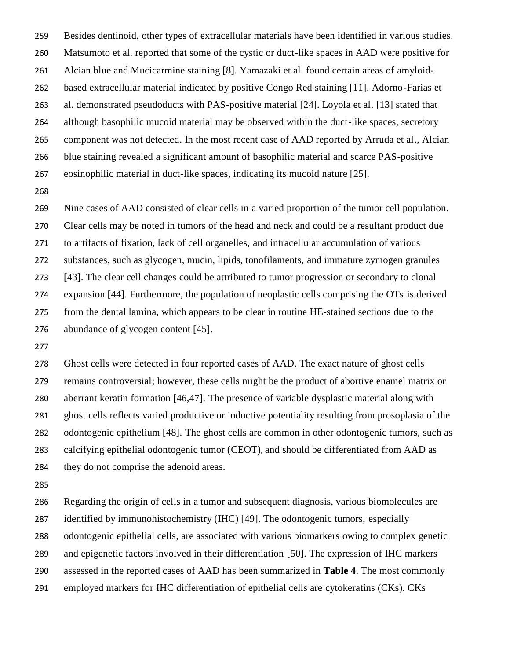Besides dentinoid, other types of extracellular materials have been identified in various studies. Matsumoto et al. reported that some of the cystic or duct-like spaces in AAD were positive for Alcian blue and Mucicarmine staining [8]. Yamazaki et al. found certain areas of amyloid- based extracellular material indicated by positive Congo Red staining [11]. Adorno-Farias et al. demonstrated pseudoducts with PAS-positive material [24]. Loyola et al. [13] stated that although basophilic mucoid material may be observed within the duct-like spaces, secretory component was not detected. In the most recent case of AAD reported by Arruda et al., Alcian blue staining revealed a significant amount of basophilic material and scarce PAS-positive eosinophilic material in duct-like spaces, indicating its mucoid nature [25].

 Nine cases of AAD consisted of clear cells in a varied proportion of the tumor cell population. Clear cells may be noted in tumors of the head and neck and could be a resultant product due to artifacts of fixation, lack of cell organelles, and intracellular accumulation of various substances, such as glycogen, mucin, lipids, tonofilaments, and immature zymogen granules [43]. The clear cell changes could be attributed to tumor progression or secondary to clonal expansion [44]. Furthermore, the population of neoplastic cells comprising the OTs is derived from the dental lamina, which appears to be clear in routine HE-stained sections due to the abundance of glycogen content [45].

 Ghost cells were detected in four reported cases of AAD. The exact nature of ghost cells remains controversial; however, these cells might be the product of abortive enamel matrix or aberrant keratin formation [46,47]. The presence of variable dysplastic material along with ghost cells reflects varied productive or inductive potentiality resulting from prosoplasia of the odontogenic epithelium [48]. The ghost cells are common in other odontogenic tumors, such as calcifying epithelial odontogenic tumor (CEOT), and should be differentiated from AAD as they do not comprise the adenoid areas.

 Regarding the origin of cells in a tumor and subsequent diagnosis, various biomolecules are identified by immunohistochemistry (IHC) [49]. The odontogenic tumors, especially odontogenic epithelial cells, are associated with various biomarkers owing to complex genetic and epigenetic factors involved in their differentiation [50]. The expression of IHC markers assessed in the reported cases of AAD has been summarized in **Table 4**. The most commonly employed markers for IHC differentiation of epithelial cells are cytokeratins (CKs). CKs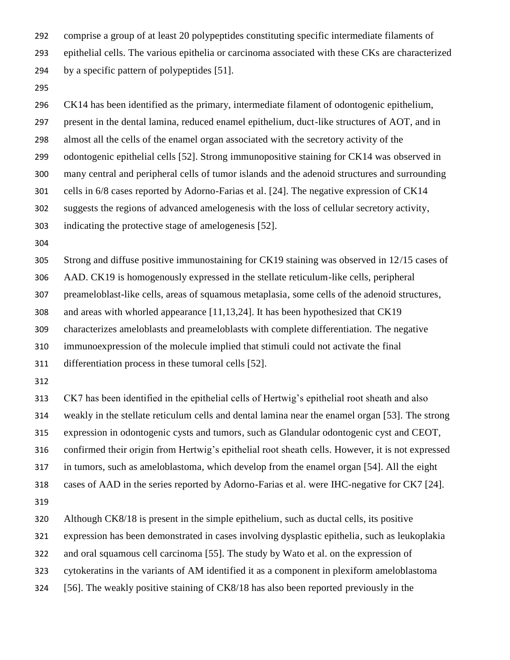comprise a group of at least 20 polypeptides constituting specific intermediate filaments of epithelial cells. The various epithelia or carcinoma associated with these CKs are characterized by a specific pattern of polypeptides [51].

 CK14 has been identified as the primary, intermediate filament of odontogenic epithelium, present in the dental lamina, reduced enamel epithelium, duct-like structures of AOT, and in almost all the cells of the enamel organ associated with the secretory activity of the odontogenic epithelial cells [52]. Strong immunopositive staining for CK14 was observed in many central and peripheral cells of tumor islands and the adenoid structures and surrounding cells in 6/8 cases reported by Adorno-Farias et al. [24]. The negative expression of CK14 suggests the regions of advanced amelogenesis with the loss of cellular secretory activity, indicating the protective stage of amelogenesis [52]. Strong and diffuse positive immunostaining for CK19 staining was observed in 12/15 cases of AAD. CK19 is homogenously expressed in the stellate reticulum-like cells, peripheral preameloblast-like cells, areas of squamous metaplasia, some cells of the adenoid structures, and areas with whorled appearance [11,13,24]. It has been hypothesized that CK19 characterizes ameloblasts and preameloblasts with complete differentiation. The negative immunoexpression of the molecule implied that stimuli could not activate the final differentiation process in these tumoral cells [52]. CK7 has been identified in the epithelial cells of Hertwig's epithelial root sheath and also weakly in the stellate reticulum cells and dental lamina near the enamel organ [53]. The strong expression in odontogenic cysts and tumors, such as Glandular odontogenic cyst and CEOT, confirmed their origin from Hertwig's epithelial root sheath cells. However, it is not expressed

in tumors, such as ameloblastoma, which develop from the enamel organ [54]. All the eight

cases of AAD in the series reported by Adorno-Farias et al. were IHC-negative for CK7 [24].

Although CK8/18 is present in the simple epithelium, such as ductal cells, its positive

expression has been demonstrated in cases involving dysplastic epithelia, such as leukoplakia

and oral squamous cell carcinoma [55]. The study by Wato et al. on the expression of

cytokeratins in the variants of AM identified it as a component in plexiform ameloblastoma

[56]. The weakly positive staining of CK8/18 has also been reported previously in the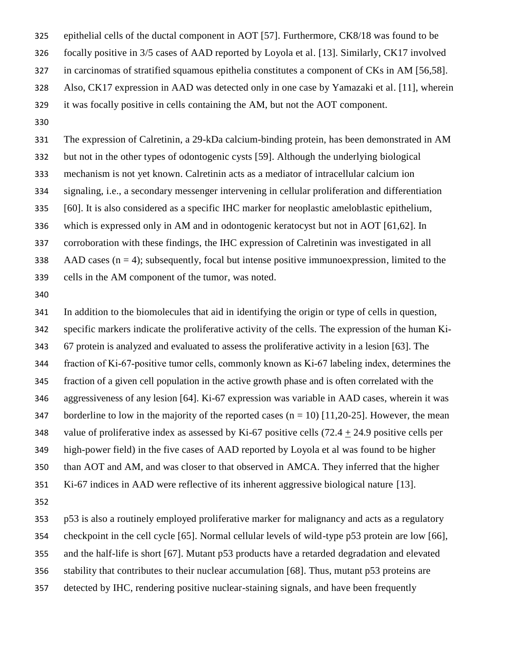epithelial cells of the ductal component in AOT [57]. Furthermore, CK8/18 was found to be focally positive in 3/5 cases of AAD reported by Loyola et al. [13]. Similarly, CK17 involved in carcinomas of stratified squamous epithelia constitutes a component of CKs in AM [56,58]. Also, CK17 expression in AAD was detected only in one case by Yamazaki et al. [11], wherein it was focally positive in cells containing the AM, but not the AOT component.

 The expression of Calretinin, a 29-kDa calcium-binding protein, has been demonstrated in AM but not in the other types of odontogenic cysts [59]. Although the underlying biological mechanism is not yet known. Calretinin acts as a mediator of intracellular calcium ion signaling, i.e., a secondary messenger intervening in cellular proliferation and differentiation [60]. It is also considered as a specific IHC marker for neoplastic ameloblastic epithelium, which is expressed only in AM and in odontogenic keratocyst but not in AOT [61,62]. In corroboration with these findings, the IHC expression of Calretinin was investigated in all 338 AAD cases  $(n = 4)$ ; subsequently, focal but intense positive immunoexpression, limited to the cells in the AM component of the tumor, was noted.

 In addition to the biomolecules that aid in identifying the origin or type of cells in question, specific markers indicate the proliferative activity of the cells. The expression of the human Ki‐ 67 protein is analyzed and evaluated to assess the proliferative activity in a lesion [63]. The fraction of Ki‐67‐positive tumor cells, commonly known as Ki‐67 labeling index, determines the fraction of a given cell population in the active growth phase and is often correlated with the aggressiveness of any lesion [64]. Ki-67 expression was variable in AAD cases, wherein it was 347 borderline to low in the majority of the reported cases  $(n = 10)$  [11,20-25]. However, the mean 348 value of proliferative index as assessed by Ki-67 positive cells  $(72.4 + 24.9)$  positive cells per high-power field) in the five cases of AAD reported by Loyola et al was found to be higher than AOT and AM, and was closer to that observed in AMCA. They inferred that the higher Ki-67 indices in AAD were reflective of its inherent aggressive biological nature [13]. 

 p53 is also a routinely employed proliferative marker for malignancy and acts as a regulatory checkpoint in the cell cycle [65]. Normal cellular levels of wild-type p53 protein are low [66], and the half-life is short [67]. Mutant p53 products have a retarded degradation and elevated stability that contributes to their nuclear accumulation [68]. Thus, mutant p53 proteins are detected by IHC, rendering positive nuclear-staining signals, and have been frequently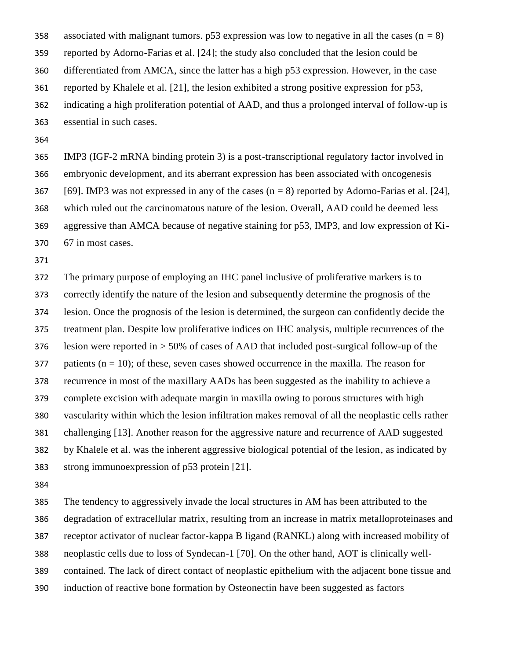358 associated with malignant tumors. p53 expression was low to negative in all the cases  $(n = 8)$  reported by Adorno-Farias et al. [24]; the study also concluded that the lesion could be differentiated from AMCA, since the latter has a high p53 expression. However, in the case reported by Khalele et al. [21], the lesion exhibited a strong positive expression for p53, indicating a high proliferation potential of AAD, and thus a prolonged interval of follow-up is

essential in such cases.

 IMP3 (IGF-2 mRNA binding protein 3) is a post-transcriptional regulatory factor involved in embryonic development, and its aberrant expression has been associated with oncogenesis 367 [69]. IMP3 was not expressed in any of the cases  $(n = 8)$  reported by Adorno-Farias et al. [24], which ruled out the carcinomatous nature of the lesion. Overall, AAD could be deemed less aggressive than AMCA because of negative staining for p53, IMP3, and low expression of Ki-67 in most cases.

 The primary purpose of employing an IHC panel inclusive of proliferative markers is to correctly identify the nature of the lesion and subsequently determine the prognosis of the lesion. Once the prognosis of the lesion is determined, the surgeon can confidently decide the treatment plan. Despite low proliferative indices on IHC analysis, multiple recurrences of the lesion were reported in > 50% of cases of AAD that included post-surgical follow-up of the 377 patients  $(n = 10)$ ; of these, seven cases showed occurrence in the maxilla. The reason for recurrence in most of the maxillary AADs has been suggested as the inability to achieve a complete excision with adequate margin in maxilla owing to porous structures with high vascularity within which the lesion infiltration makes removal of all the neoplastic cells rather challenging [13]. Another reason for the aggressive nature and recurrence of AAD suggested by Khalele et al. was the inherent aggressive biological potential of the lesion, as indicated by strong immunoexpression of p53 protein [21].

 The tendency to aggressively invade the local structures in AM has been attributed to the degradation of extracellular matrix, resulting from an increase in matrix metalloproteinases and receptor activator of nuclear factor-kappa B ligand (RANKL) along with increased mobility of neoplastic cells due to loss of Syndecan-1 [70]. On the other hand, AOT is clinically well- contained. The lack of direct contact of neoplastic epithelium with the adjacent bone tissue and induction of reactive bone formation by Osteonectin have been suggested as factors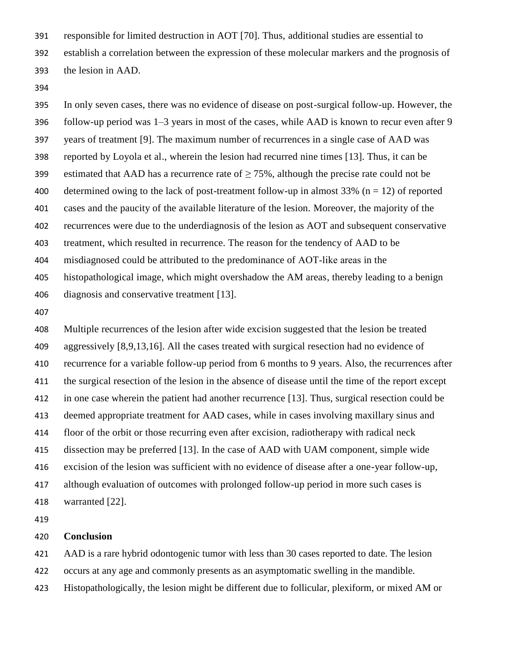responsible for limited destruction in AOT [70]. Thus, additional studies are essential to

establish a correlation between the expression of these molecular markers and the prognosis of

- the lesion in AAD.
- 

 In only seven cases, there was no evidence of disease on post-surgical follow-up. However, the follow-up period was 1–3 years in most of the cases, while AAD is known to recur even after 9 years of treatment [9]. The maximum number of recurrences in a single case of AAD was reported by Loyola et al., wherein the lesion had recurred nine times [13]. Thus, it can be 399 estimated that AAD has a recurrence rate of  $\geq$  75%, although the precise rate could not be 400 determined owing to the lack of post-treatment follow-up in almost  $33\%$  (n = 12) of reported cases and the paucity of the available literature of the lesion. Moreover, the majority of the recurrences were due to the underdiagnosis of the lesion as AOT and subsequent conservative treatment, which resulted in recurrence. The reason for the tendency of AAD to be misdiagnosed could be attributed to the predominance of AOT‑like areas in the histopathological image, which might overshadow the AM areas, thereby leading to a benign diagnosis and conservative treatment [13].

 Multiple recurrences of the lesion after wide excision suggested that the lesion be treated aggressively [8,9,13,16]. All the cases treated with surgical resection had no evidence of recurrence for a variable follow-up period from 6 months to 9 years. Also, the recurrences after the surgical resection of the lesion in the absence of disease until the time of the report except in one case wherein the patient had another recurrence [13]. Thus, surgical resection could be deemed appropriate treatment for AAD cases, while in cases involving maxillary sinus and floor of the orbit or those recurring even after excision, radiotherapy with radical neck dissection may be preferred [13]. In the case of AAD with UAM component, simple wide excision of the lesion was sufficient with no evidence of disease after a one-year follow-up, although evaluation of outcomes with prolonged follow-up period in more such cases is warranted [22].

## **Conclusion**

AAD is a rare hybrid odontogenic tumor with less than 30 cases reported to date. The lesion

occurs at any age and commonly presents as an asymptomatic swelling in the mandible.

Histopathologically, the lesion might be different due to follicular, plexiform, or mixed AM or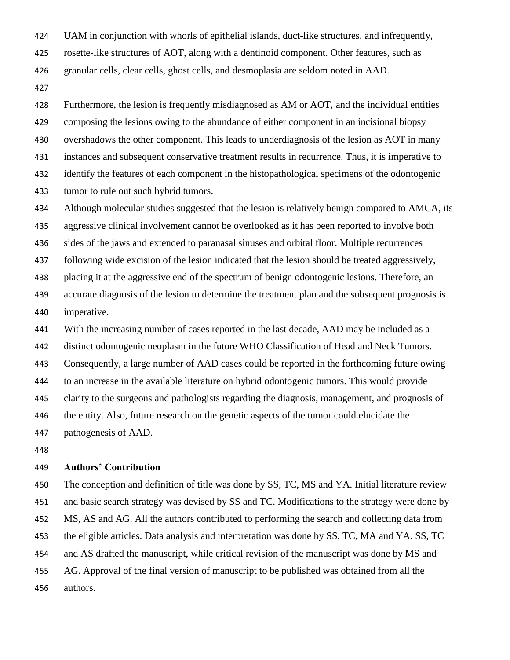UAM in conjunction with whorls of epithelial islands, duct-like structures, and infrequently,

rosette-like structures of AOT, along with a dentinoid component. Other features, such as

granular cells, clear cells, ghost cells, and desmoplasia are seldom noted in AAD.

 Furthermore, the lesion is frequently misdiagnosed as AM or AOT, and the individual entities composing the lesions owing to the abundance of either component in an incisional biopsy overshadows the other component. This leads to underdiagnosis of the lesion as AOT in many instances and subsequent conservative treatment results in recurrence. Thus, it is imperative to identify the features of each component in the histopathological specimens of the odontogenic tumor to rule out such hybrid tumors.

Although molecular studies suggested that the lesion is relatively benign compared to AMCA, its

aggressive clinical involvement cannot be overlooked as it has been reported to involve both

sides of the jaws and extended to paranasal sinuses and orbital floor. Multiple recurrences

following wide excision of the lesion indicated that the lesion should be treated aggressively,

placing it at the aggressive end of the spectrum of benign odontogenic lesions. Therefore, an

 accurate diagnosis of the lesion to determine the treatment plan and the subsequent prognosis is imperative.

441 With the increasing number of cases reported in the last decade, AAD may be included as a

distinct odontogenic neoplasm in the future WHO Classification of Head and Neck Tumors.

Consequently, a large number of AAD cases could be reported in the forthcoming future owing

to an increase in the available literature on hybrid odontogenic tumors. This would provide

clarity to the surgeons and pathologists regarding the diagnosis, management, and prognosis of

the entity. Also, future research on the genetic aspects of the tumor could elucidate the

pathogenesis of AAD.

# **Authors' Contribution**

 The conception and definition of title was done by SS, TC, MS and YA. Initial literature review and basic search strategy was devised by SS and TC. Modifications to the strategy were done by MS, AS and AG. All the authors contributed to performing the search and collecting data from the eligible articles. Data analysis and interpretation was done by SS, TC, MA and YA. SS, TC and AS drafted the manuscript, while critical revision of the manuscript was done by MS and AG. Approval of the final version of manuscript to be published was obtained from all the authors.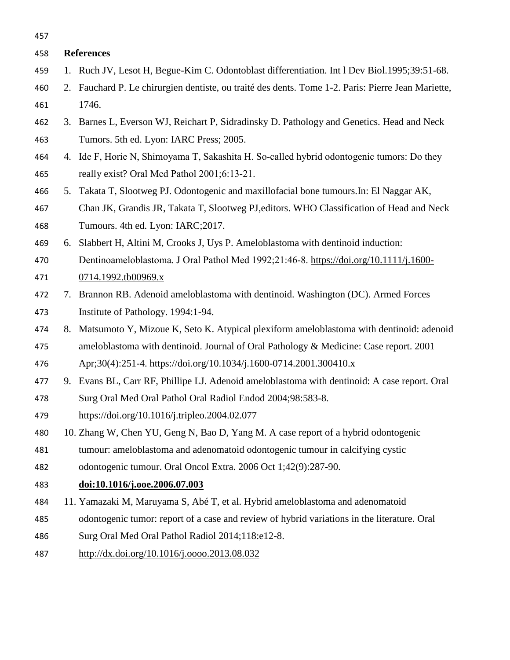| 457 |                                                                                                    |
|-----|----------------------------------------------------------------------------------------------------|
| 458 | <b>References</b>                                                                                  |
| 459 | 1. Ruch JV, Lesot H, Begue-Kim C. Odontoblast differentiation. Int 1 Dev Biol.1995;39:51-68.       |
| 460 | 2. Fauchard P. Le chirurgien dentiste, ou traité des dents. Tome 1-2. Paris: Pierre Jean Mariette, |
| 461 | 1746.                                                                                              |
| 462 | 3. Barnes L, Everson WJ, Reichart P, Sidradinsky D. Pathology and Genetics. Head and Neck          |
| 463 | Tumors. 5th ed. Lyon: IARC Press; 2005.                                                            |
| 464 | 4. Ide F, Horie N, Shimoyama T, Sakashita H. So-called hybrid odontogenic tumors: Do they          |
| 465 | really exist? Oral Med Pathol 2001;6:13-21.                                                        |
| 466 | 5. Takata T, Slootweg PJ. Odontogenic and maxillofacial bone tumours. In: El Naggar AK,            |
| 467 | Chan JK, Grandis JR, Takata T, Slootweg PJ, editors. WHO Classification of Head and Neck           |
| 468 | Tumours. 4th ed. Lyon: IARC;2017.                                                                  |
| 469 | 6. Slabbert H, Altini M, Crooks J, Uys P. Ameloblastoma with dentinoid induction:                  |
| 470 | Dentinoameloblastoma. J Oral Pathol Med 1992;21:46-8. https://doi.org/10.1111/j.1600-              |
| 471 | 0714.1992.tb00969.x                                                                                |
| 472 | 7. Brannon RB. Adenoid ameloblastoma with dentinoid. Washington (DC). Armed Forces                 |
| 473 | Institute of Pathology. 1994:1-94.                                                                 |
| 474 | 8. Matsumoto Y, Mizoue K, Seto K. Atypical plexiform ameloblastoma with dentinoid: adenoid         |
| 475 | ameloblastoma with dentinoid. Journal of Oral Pathology & Medicine: Case report. 2001              |
| 476 | Apr;30(4):251-4. https://doi.org/10.1034/j.1600-0714.2001.300410.x                                 |
| 477 | 9. Evans BL, Carr RF, Phillipe LJ. Adenoid ameloblastoma with dentinoid: A case report. Oral       |
| 478 | Surg Oral Med Oral Pathol Oral Radiol Endod 2004;98:583-8.                                         |
| 479 | https://doi.org/10.1016/j.tripleo.2004.02.077                                                      |
| 480 | 10. Zhang W, Chen YU, Geng N, Bao D, Yang M. A case report of a hybrid odontogenic                 |
| 481 | tumour: ameloblastoma and adenomatoid odontogenic tumour in calcifying cystic                      |
| 482 | odontogenic tumour. Oral Oncol Extra. 2006 Oct 1;42(9):287-90.                                     |
| 483 | doi:10.1016/j.ooe.2006.07.003                                                                      |
| 484 | 11. Yamazaki M, Maruyama S, Abé T, et al. Hybrid ameloblastoma and adenomatoid                     |
| 485 | odontogenic tumor: report of a case and review of hybrid variations in the literature. Oral        |
| 486 | Surg Oral Med Oral Pathol Radiol 2014;118:e12-8.                                                   |
| 487 | http://dx.doi.org/10.1016/j.oooo.2013.08.032                                                       |
|     |                                                                                                    |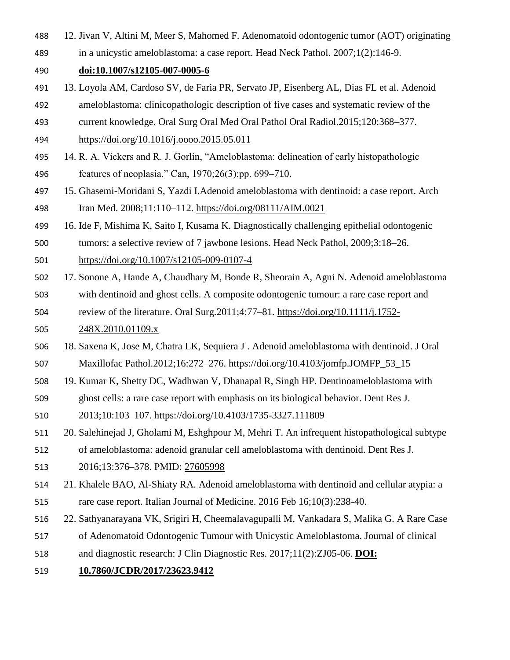- 12. Jivan V, Altini M, Meer S, Mahomed F. Adenomatoid odontogenic tumor (AOT) originating
- in a unicystic ameloblastoma: a case report. Head Neck Pathol. 2007;1(2):146-9.

# **doi:10.1007/s12105-007-0005-6**

- 13. Loyola AM, Cardoso SV, de Faria PR, Servato JP, Eisenberg AL, Dias FL et al. Adenoid
- ameloblastoma: clinicopathologic description of five cases and systematic review of the
- current knowledge. Oral Surg Oral Med Oral Pathol Oral Radiol.2015;120:368–377.
- <https://doi.org/10.1016/j.oooo.2015.05.011>
- 14. R. A. Vickers and R. J. Gorlin, "Ameloblastoma: delineation of early histopathologic features of neoplasia," Can, 1970;26(3):pp. 699–710.
- 15. Ghasemi-Moridani S, Yazdi I.Adenoid ameloblastoma with dentinoid: a case report. Arch Iran Med. 2008;11:110–112.<https://doi.org/08111/AIM.0021>
- 16. Ide F, Mishima K, Saito I, Kusama K. Diagnostically challenging epithelial odontogenic
- tumors: a selective review of 7 jawbone lesions. Head Neck Pathol, 2009;3:18–26.
- <https://doi.org/10.1007/s12105-009-0107-4>
- 17. Sonone A, Hande A, Chaudhary M, Bonde R, Sheorain A, Agni N. Adenoid ameloblastoma
- with dentinoid and ghost cells. A composite odontogenic tumour: a rare case report and review of the literature. Oral Surg.2011;4:77–81. [https://doi.org/10.1111/j.1752-](https://doi.org/10.1111/j.1752-248X.2010.01109.x)
- [248X.2010.01109.x](https://doi.org/10.1111/j.1752-248X.2010.01109.x)
- 18. Saxena K, Jose M, Chatra LK, Sequiera J . Adenoid ameloblastoma with dentinoid. J Oral Maxillofac Pathol.2012;16:272–276. [https://doi.org/10.4103/jomfp.JOMFP\\_53\\_15](https://doi.org/10.4103/jomfp.JOMFP_53_15)
- 19. Kumar K, Shetty DC, Wadhwan V, Dhanapal R, Singh HP. Dentinoameloblastoma with
- ghost cells: a rare case report with emphasis on its biological behavior. Dent Res J.
- 2013;10:103–107.<https://doi.org/10.4103/1735-3327.111809>
- 20. Salehinejad J, Gholami M, Eshghpour M, Mehri T. An infrequent histopathological subtype of ameloblastoma: adenoid granular cell ameloblastoma with dentinoid. Dent Res J.
- 2016;13:376–378. PMID: [27605998](https://www.ncbi.nlm.nih.gov/pubmed/27605998)
- 21. Khalele BAO, Al-Shiaty RA. Adenoid ameloblastoma with dentinoid and cellular atypia: a rare case report. Italian Journal of Medicine. 2016 Feb 16;10(3):238-40.
- 22. Sathyanarayana VK, Srigiri H, Cheemalavagupalli M, Vankadara S, Malika G. A Rare Case
- of Adenomatoid Odontogenic Tumour with Unicystic Ameloblastoma. Journal of clinical
- and diagnostic research: J Clin Diagnostic Res. 2017;11(2):ZJ05-06. **DOI:**
- **10.7860/JCDR/2017/23623.9412**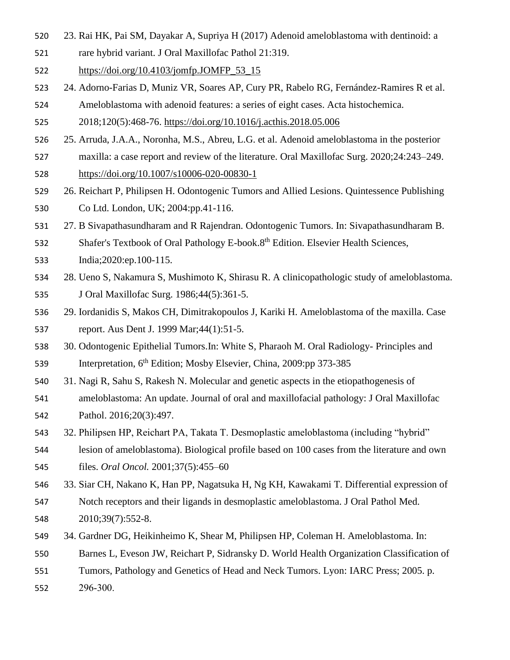- 23. Rai HK, Pai SM, Dayakar A, Supriya H (2017) Adenoid ameloblastoma with dentinoid: a
- rare hybrid variant. J Oral Maxillofac Pathol 21:319.
- [https://doi.org/10.4103/jomfp.JOMFP\\_53\\_15](https://doi.org/10.4103/jomfp.JOMFP_53_15)
- 24. Adorno-Farias D, Muniz VR, Soares AP, Cury PR, Rabelo RG, Fernández-Ramires R et al. Ameloblastoma with adenoid features: a series of eight cases. Acta histochemica.
- 2018;120(5):468-76.<https://doi.org/10.1016/j.acthis.2018.05.006>
- 25. Arruda, J.A.A., Noronha, M.S., Abreu, L.G. et al. Adenoid ameloblastoma in the posterior
- maxilla: a case report and review of the literature. Oral Maxillofac Surg. 2020;24:243–249. <https://doi.org/10.1007/s10006-020-00830-1>
- 26. Reichart P, Philipsen H. Odontogenic Tumors and Allied Lesions. Quintessence Publishing Co Ltd. London, UK; 2004:pp.41-116.
- 27. B Sivapathasundharam and R Rajendran. Odontogenic Tumors. In: Sivapathasundharam B.
- 532 Shafer's Textbook of Oral Pathology E-book.8<sup>th</sup> Edition. Elsevier Health Sciences,

India;2020:ep.100-115.

- 28. Ueno S, Nakamura S, Mushimoto K, Shirasu R. A clinicopathologic study of ameloblastoma. J Oral Maxillofac Surg. 1986;44(5):361-5.
- 29. Iordanidis S, Makos CH, Dimitrakopoulos J, Kariki H. Ameloblastoma of the maxilla. Case report. Aus Dent J. 1999 Mar;44(1):51-5.
- 30. Odontogenic Epithelial Tumors.In: White S, Pharaoh M. Oral Radiology- Principles and 539 Interpretation, 6<sup>th</sup> Edition; Mosby Elsevier, China, 2009:pp 373-385
- 31. Nagi R, Sahu S, Rakesh N. Molecular and genetic aspects in the etiopathogenesis of
- ameloblastoma: An update. Journal of oral and maxillofacial pathology: J Oral Maxillofac Pathol. 2016;20(3):497.
- 32. Philipsen HP, Reichart PA, Takata T. Desmoplastic ameloblastoma (including "hybrid"
- lesion of ameloblastoma). Biological profile based on 100 cases from the literature and own
- files. *Oral Oncol.* 2001;37(5):455–60
- 33. Siar CH, Nakano K, Han PP, Nagatsuka H, Ng KH, Kawakami T. Differential expression of
- Notch receptors and their ligands in desmoplastic ameloblastoma. J Oral Pathol Med. 2010;39(7):552-8.
- 34. Gardner DG, Heikinheimo K, Shear M, Philipsen HP, Coleman H. Ameloblastoma. In:
- Barnes L, Eveson JW, Reichart P, Sidransky D. World Health Organization Classification of
- Tumors, Pathology and Genetics of Head and Neck Tumors. Lyon: IARC Press; 2005. p.
- 296‑300.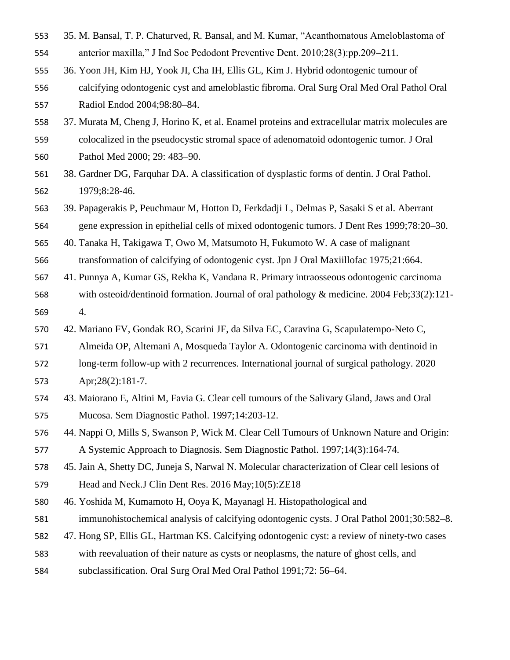- 35. M. Bansal, T. P. Chaturved, R. Bansal, and M. Kumar, "Acanthomatous Ameloblastoma of
- anterior maxilla," J Ind Soc Pedodont Preventive Dent. 2010;28(3):pp.209–211.
- 36. Yoon JH, Kim HJ, Yook JI, Cha IH, Ellis GL, Kim J. Hybrid odontogenic tumour of
- calcifying odontogenic cyst and ameloblastic fibroma. Oral Surg Oral Med Oral Pathol Oral Radiol Endod 2004;98:80–84.
- 37. Murata M, Cheng J, Horino K, et al. Enamel proteins and extracellular matrix molecules are colocalized in the pseudocystic stromal space of adenomatoid odontogenic tumor. J Oral Pathol Med 2000; 29: 483–90.
- 38. Gardner DG, Farquhar DA. A classification of dysplastic forms of dentin. J Oral Pathol. 1979;8:28-46.
- 39. Papagerakis P, Peuchmaur M, Hotton D, Ferkdadji L, Delmas P, Sasaki S et al. Aberrant gene expression in epithelial cells of mixed odontogenic tumors. J Dent Res 1999;78:20–30.

40. Tanaka H, Takigawa T, Owo M, Matsumoto H, Fukumoto W. A case of malignant

transformation of calcifying of odontogenic cyst. Jpn J Oral Maxiillofac 1975;21:664.

- 41. Punnya A, Kumar GS, Rekha K, Vandana R. Primary intraosseous odontogenic carcinoma with osteoid/dentinoid formation. Journal of oral pathology & medicine. 2004 Feb;33(2):121- 4.
- 42. Mariano FV, Gondak RO, Scarini JF, da Silva EC, Caravina G, Scapulatempo-Neto C,

Almeida OP, Altemani A, Mosqueda Taylor A. Odontogenic carcinoma with dentinoid in

- long-term follow-up with 2 recurrences. International journal of surgical pathology. 2020 Apr;28(2):181-7.
- 43. Maiorano E, Altini M, Favia G. Clear cell tumours of the Salivary Gland, Jaws and Oral Mucosa. Sem Diagnostic Pathol. 1997;14:203-12.

 44. Nappi O, Mills S, Swanson P, Wick M. Clear Cell Tumours of Unknown Nature and Origin: A Systemic Approach to Diagnosis. Sem Diagnostic Pathol. 1997;14(3):164-74.

 45. Jain A, Shetty DC, Juneja S, Narwal N. Molecular characterization of Clear cell lesions of Head and Neck.J Clin Dent Res. 2016 May;10(5):ZE18

46. Yoshida M, Kumamoto H, Ooya K, Mayanagl H. Histopathological and

- immunohistochemical analysis of calcifying odontogenic cysts. J Oral Pathol 2001;30:582–8.
- 47. Hong SP, Ellis GL, Hartman KS. Calcifying odontogenic cyst: a review of ninety-two cases
- with reevaluation of their nature as cysts or neoplasms, the nature of ghost cells, and
- subclassification. Oral Surg Oral Med Oral Pathol 1991;72: 56–64.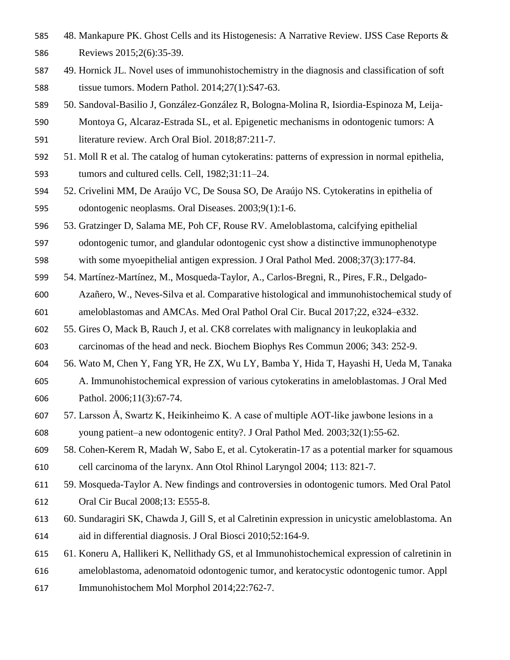- 48. Mankapure PK. Ghost Cells and its Histogenesis: A Narrative Review. IJSS Case Reports & Reviews 2015;2(6):35-39.
- 49. Hornick JL. Novel uses of immunohistochemistry in the diagnosis and classification of soft tissue tumors. Modern Pathol. 2014;27(1):S47-63.
- 50. Sandoval-Basilio J, González-González R, Bologna-Molina R, Isiordia-Espinoza M, Leija-
- Montoya G, Alcaraz-Estrada SL, et al. Epigenetic mechanisms in odontogenic tumors: A literature review. Arch Oral Biol. 2018;87:211-7.
- 51. Moll R et al. The catalog of human cytokeratins: patterns of expression in normal epithelia, tumors and cultured cells. Cell, 1982;31:11–24.
- 52. Crivelini MM, De Araújo VC, De Sousa SO, De Araújo NS. Cytokeratins in epithelia of odontogenic neoplasms. Oral Diseases. 2003;9(1):1-6.
- 53. Gratzinger D, Salama ME, Poh CF, Rouse RV. Ameloblastoma, calcifying epithelial
- odontogenic tumor, and glandular odontogenic cyst show a distinctive immunophenotype
- with some myoepithelial antigen expression. J Oral Pathol Med. 2008;37(3):177-84.
- 54. Martínez-Martínez, M., Mosqueda-Taylor, A., Carlos-Bregni, R., Pires, F.R., Delgado-
- Azañero, W., Neves-Silva et al. Comparative histological and immunohistochemical study of ameloblastomas and AMCAs. Med Oral Pathol Oral Cir. Bucal 2017;22, e324–e332.
- 55. Gires O, Mack B, Rauch J, et al. CK8 correlates with malignancy in leukoplakia and carcinomas of the head and neck. Biochem Biophys Res Commun 2006; 343: 252-9.
- 56. Wato M, Chen Y, Fang YR, He ZX, Wu LY, Bamba Y, Hida T, Hayashi H, Ueda M, Tanaka
- A. Immunohistochemical expression of various cytokeratins in ameloblastomas. J Oral Med Pathol. 2006;11(3):67-74.
- 57. Larsson Å, Swartz K, Heikinheimo K. A case of multiple AOT‐like jawbone lesions in a young patient–a new odontogenic entity?. J Oral Pathol Med. 2003;32(1):55-62.
- 58. Cohen-Kerem R, Madah W, Sabo E, et al. Cytokeratin-17 as a potential marker for squamous cell carcinoma of the larynx. Ann Otol Rhinol Laryngol 2004; 113: 821-7.
- 59. Mosqueda-Taylor A. New findings and controversies in odontogenic tumors. Med Oral Patol Oral Cir Bucal 2008;13: E555-8.
- 60. Sundaragiri SK, Chawda J, Gill S, et al Calretinin expression in unicystic ameloblastoma. An aid in differential diagnosis. J Oral Biosci 2010;52:164-9.
- 61. Koneru A, Hallikeri K, Nellithady GS, et al Immunohistochemical expression of calretinin in
- ameloblastoma, adenomatoid odontogenic tumor, and keratocystic odontogenic tumor. Appl
- Immunohistochem Mol Morphol 2014;22:762-7.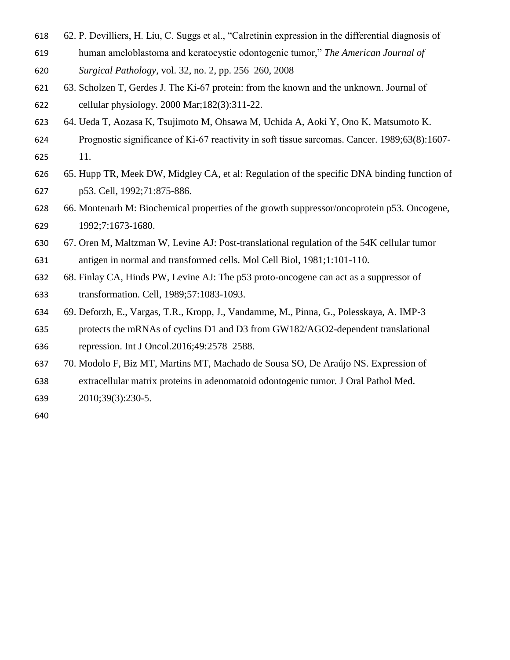- 62. P. Devilliers, H. Liu, C. Suggs et al., "Calretinin expression in the differential diagnosis of
- human ameloblastoma and keratocystic odontogenic tumor," *The American Journal of*
- *Surgical Pathology*, vol. 32, no. 2, pp. 256–260, 2008
- 63. Scholzen T, Gerdes J. The Ki‐67 protein: from the known and the unknown. Journal of cellular physiology. 2000 Mar;182(3):311-22.
- 64. Ueda T, Aozasa K, Tsujimoto M, Ohsawa M, Uchida A, Aoki Y, Ono K, Matsumoto K.
- Prognostic significance of Ki‐67 reactivity in soft tissue sarcomas. Cancer. 1989;63(8):1607- 11.
- 65. Hupp TR, Meek DW, Midgley CA, et al: Regulation of the specific DNA binding function of p53. Cell, 1992;71:875-886.
- 66. Montenarh M: Biochemical properties of the growth suppressor/oncoprotein p53. Oncogene, 1992;7:1673-1680.
- 67. Oren M, Maltzman W, Levine AJ: Post-translational regulation of the 54K cellular tumor
- antigen in normal and transformed cells. Mol Cell Biol, 1981;1:101-110.
- 68. Finlay CA, Hinds PW, Levine AJ: The p53 proto-oncogene can act as a suppressor of transformation. Cell, 1989;57:1083-1093.
- 69. Deforzh, E., Vargas, T.R., Kropp, J., Vandamme, M., Pinna, G., Polesskaya, A. IMP-3
- protects the mRNAs of cyclins D1 and D3 from GW182/AGO2-dependent translational
- repression. Int J Oncol.2016;49:2578–2588.
- 70. Modolo F, Biz MT, Martins MT, Machado de Sousa SO, De Araújo NS. Expression of
- extracellular matrix proteins in adenomatoid odontogenic tumor. J Oral Pathol Med.
- 2010;39(3):230-5.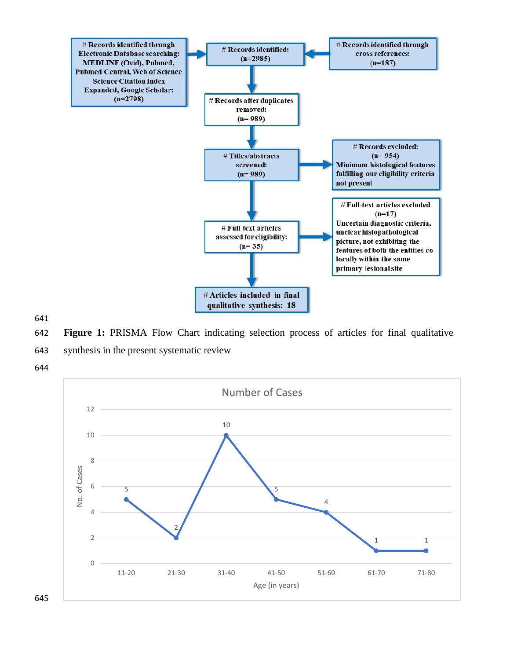

**Figure 1:** PRISMA Flow Chart indicating selection process of articles for final qualitative

- synthesis in the present systematic review
- 

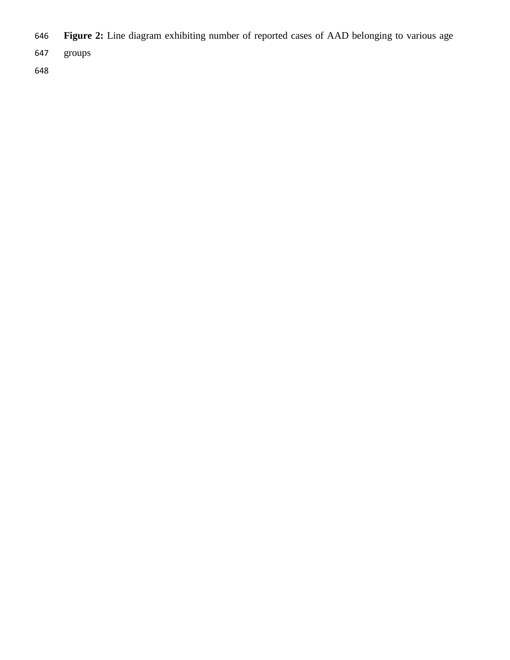- **Figure 2:** Line diagram exhibiting number of reported cases of AAD belonging to various age
- groups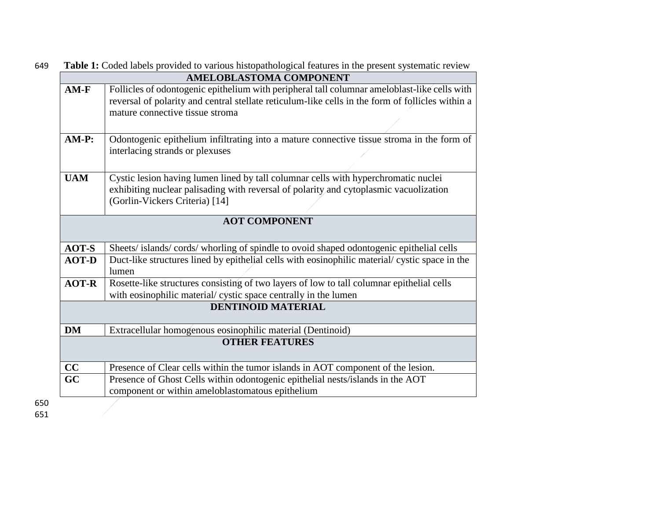| <b>AMELOBLASTOMA COMPONENT</b><br>Follicles of odontogenic epithelium with peripheral tall columnar ameloblast-like cells with<br>reversal of polarity and central stellate reticulum-like cells in the form of follicles within a<br>mature connective tissue stroma<br>Odontogenic epithelium infiltrating into a mature connective tissue stroma in the form of<br>interlacing strands or plexuses<br>Cystic lesion having lumen lined by tall columnar cells with hyperchromatic nuclei<br>exhibiting nuclear palisading with reversal of polarity and cytoplasmic vacuolization<br>(Gorlin-Vickers Criteria) [14] |
|------------------------------------------------------------------------------------------------------------------------------------------------------------------------------------------------------------------------------------------------------------------------------------------------------------------------------------------------------------------------------------------------------------------------------------------------------------------------------------------------------------------------------------------------------------------------------------------------------------------------|
|                                                                                                                                                                                                                                                                                                                                                                                                                                                                                                                                                                                                                        |
|                                                                                                                                                                                                                                                                                                                                                                                                                                                                                                                                                                                                                        |
|                                                                                                                                                                                                                                                                                                                                                                                                                                                                                                                                                                                                                        |
|                                                                                                                                                                                                                                                                                                                                                                                                                                                                                                                                                                                                                        |
| <b>AOT COMPONENT</b>                                                                                                                                                                                                                                                                                                                                                                                                                                                                                                                                                                                                   |
| Sheets/islands/cords/whorling of spindle to ovoid shaped odontogenic epithelial cells                                                                                                                                                                                                                                                                                                                                                                                                                                                                                                                                  |
| Duct-like structures lined by epithelial cells with eosinophilic material/cystic space in the<br>lumen                                                                                                                                                                                                                                                                                                                                                                                                                                                                                                                 |
| Rosette-like structures consisting of two layers of low to tall columnar epithelial cells<br>with eosinophilic material/ cystic space centrally in the lumen                                                                                                                                                                                                                                                                                                                                                                                                                                                           |
| <b>DENTINOID MATERIAL</b>                                                                                                                                                                                                                                                                                                                                                                                                                                                                                                                                                                                              |
| Extracellular homogenous eosinophilic material (Dentinoid)                                                                                                                                                                                                                                                                                                                                                                                                                                                                                                                                                             |
| <b>OTHER FEATURES</b>                                                                                                                                                                                                                                                                                                                                                                                                                                                                                                                                                                                                  |
|                                                                                                                                                                                                                                                                                                                                                                                                                                                                                                                                                                                                                        |
| Presence of Clear cells within the tumor islands in AOT component of the lesion.                                                                                                                                                                                                                                                                                                                                                                                                                                                                                                                                       |
|                                                                                                                                                                                                                                                                                                                                                                                                                                                                                                                                                                                                                        |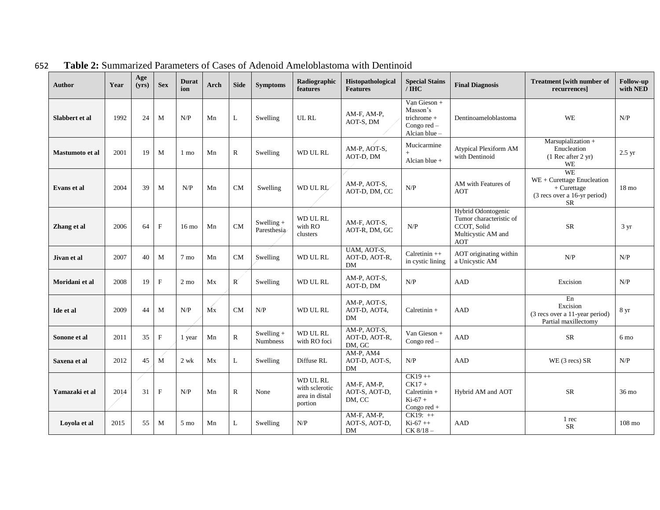| <b>Author</b>          | Year | Age<br>(yrs) | <b>Sex</b>   | <b>Durat</b><br>ion | Arch            | <b>Side</b>               | <b>Symptoms</b>             | Radiographic<br>features                                | Histopathological<br><b>Features</b>      | <b>Special Stains</b><br>$\overline{I}$ IHC                             | <b>Final Diagnosis</b>                                                                    | <b>Treatment [with number of</b><br>recurrences]                                                      | <b>Follow-up</b><br>with NED |
|------------------------|------|--------------|--------------|---------------------|-----------------|---------------------------|-----------------------------|---------------------------------------------------------|-------------------------------------------|-------------------------------------------------------------------------|-------------------------------------------------------------------------------------------|-------------------------------------------------------------------------------------------------------|------------------------------|
| Slabbert et al         | 1992 | 24           | M            | N/P                 | Mn              | L                         | Swelling                    | UL RL                                                   | AM-F, AM-P,<br>AOT-S, DM                  | Van Gieson +<br>Masson's<br>trichrome +<br>Congo red -<br>Alcian blue - | Dentinoameloblastoma                                                                      | <b>WE</b>                                                                                             | N/P                          |
| <b>Mastumoto et al</b> | 2001 | 19           | M            | 1 mo                | Mn              | $\mathbb{R}$              | Swelling                    | WD UL RL                                                | AM-P, AOT-S,<br>AOT-D, DM                 | Mucicarmine<br>Alcian blue $+$                                          | Atypical Plexiform AM<br>with Dentinoid                                                   | Marsupialization +<br>Enucleation<br>(1 Rec after 2 yr)<br>WE                                         | $2.5 \text{ yr}$             |
| Evans et al            | 2004 | 39           | M            | N/P                 | Mn              | <b>CM</b>                 | Swelling                    | WD UL RL                                                | AM-P, AOT-S,<br>AOT-D, DM, CC             | N/P                                                                     | AM with Features of<br><b>AOT</b>                                                         | <b>WE</b><br>WE + Curettage Enucleation<br>$+$ Curettage<br>(3 recs over a 16-yr period)<br><b>SR</b> | $18 \text{ mo}$              |
| Zhang et al            | 2006 | 64           | $\mathbf{F}$ | $16 \text{ mo}$     | Mn              | $\rm CM$                  | Swelling $+$<br>Paresthesia | WD UL RL<br>with RO<br>clusters                         | AM-F, AOT-S,<br>AOT-R, DM, GC             | N/P                                                                     | Hybrid Odontogenic<br>Tumor characteristic of<br>CCOT, Solid<br>Multicystic AM and<br>AOT | <b>SR</b>                                                                                             | 3 yr                         |
| Jivan et al            | 2007 | 40           | M            | 7 <sub>mo</sub>     | Mn              | CM                        | Swelling                    | WD UL RL                                                | UAM, AOT-S,<br>AOT-D, AOT-R,<br><b>DM</b> | Calretinin ++<br>in cystic lining                                       | AOT originating within<br>a Unicystic AM                                                  | N/P                                                                                                   | N/P                          |
| Moridani et al         | 2008 | 19           | $\mathbf F$  | $2 \text{ mo}$      | Mx              | $\mathbb{R}^{\mathbb{C}}$ | Swelling                    | WD UL RL                                                | AM-P, AOT-S,<br>AOT-D, DM                 | N/P                                                                     | <b>AAD</b>                                                                                | Excision                                                                                              | N/P                          |
| Ide et al              | 2009 | 44           | $\mathbf{M}$ | N/P                 | $\overline{M}x$ | CM                        | N/P                         | WD UL RL                                                | AM-P, AOT-S,<br>AOT-D, AOT4,<br>DM        | $Calretinin +$                                                          | <b>AAD</b>                                                                                | ${\rm En}$<br>Excision<br>(3 recs over a 11-year period)<br>Partial maxillectomy                      | 8 yr                         |
| Sonone et al           | 2011 | 35           | $\mathbf F$  | 1 year              | Mn              | $\mathbb{R}$              | Swelling $+$<br>Numbness    | WD UL RL<br>with RO foci                                | AM-P, AOT-S,<br>AOT-D, AOT-R,<br>DM, GC   | Van Gieson +<br>Congo $red -$                                           | <b>AAD</b>                                                                                | <b>SR</b>                                                                                             | 6 mo                         |
| Saxena et al           | 2012 | 45           | $\mathbf{M}$ | $2$ wk              | Mx              | L                         | Swelling                    | Diffuse RL                                              | AM-P, AM4<br>AOT-D, AOT-S,<br>DM          | N/P                                                                     | <b>AAD</b>                                                                                | WE (3 recs) SR                                                                                        | N/P                          |
| Yamazaki et al         | 2014 | 31           | $\mathbf F$  | N/P                 | Mn              | $\mathbf R$               | None                        | WD UL RL<br>with sclerotic<br>area in distal<br>portion | AM-F, AM-P,<br>AOT-S, AOT-D,<br>DM, CC    | $CK19++$<br>$CK17 +$<br>$Calretinin +$<br>$Ki-67 +$<br>Congo red +      | Hybrid AM and AOT                                                                         | <b>SR</b>                                                                                             | 36 mo                        |
| Lovola et al           | 2015 | 55           | M            | $5 \text{ mo}$      | Mn              | L                         | Swelling                    | N/P                                                     | AM-F, AM-P,<br>AOT-S, AOT-D,<br>DM        | $CK19:++$<br>$Ki-67++$<br>$CK 8/18-$                                    | <b>AAD</b>                                                                                | 1 rec<br><b>SR</b>                                                                                    | $108 \text{ mo}$             |

652 **Table 2:** Summarized Parameters of Cases of Adenoid Ameloblastoma with Dentinoid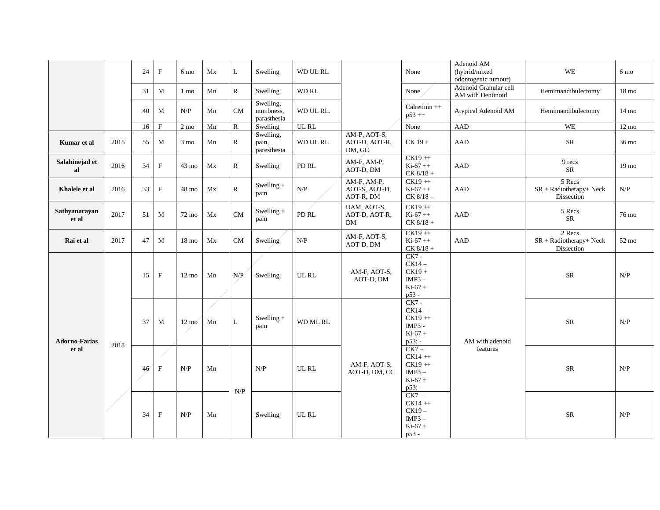|                               |      | 24 | $\mathbf F$  | 6 mo            | Mx   | L            | Swelling                              | WD UL RL  |                                           | None                                                                | Adenoid AM<br>(hybrid/mixed<br>odontogenic tumour) | WE                                                 | 6 mo                                                             |   |                      |                 |  |
|-------------------------------|------|----|--------------|-----------------|------|--------------|---------------------------------------|-----------|-------------------------------------------|---------------------------------------------------------------------|----------------------------------------------------|----------------------------------------------------|------------------------------------------------------------------|---|----------------------|-----------------|--|
|                               |      | 31 | $\mathbf{M}$ | $1 \text{ mo}$  | Mn   | $\mathbf R$  | Swelling                              | WD RL     |                                           | None                                                                | Adenoid Granular cell<br>AM with Dentinoid         | Hemimandibulectomy                                 | $18 \text{ mo}$                                                  |   |                      |                 |  |
|                               |      | 40 | M            | N/P             | Mn   | <b>CM</b>    | Swelling,<br>numbness,<br>parasthesia | WD UL RL. |                                           | $Calretinin++$<br>$p53 +$                                           | Atypical Adenoid AM                                | Hemimandibulectomy                                 | $14 \text{ mo}$                                                  |   |                      |                 |  |
|                               |      | 16 | $\rm F$      | $2 \text{ mo}$  | Mn   | $\mathbb{R}$ | Swelling                              | UL RL     |                                           | None                                                                | AAD                                                | <b>WE</b>                                          | $12 \text{ mo}$                                                  |   |                      |                 |  |
| Kumar et al                   | 2015 | 55 | $\mathbf{M}$ | 3 mo            | Mn   | $\mathbf R$  | Swelling,<br>pain,<br>paresthesia     | WD UL RL  | AM-P, AOT-S,<br>AOT-D, AOT-R,<br>DM, GC   | $CK 19 +$                                                           | AAD                                                | ${\rm SR}$                                         | 36 mo                                                            |   |                      |                 |  |
| Salahinejad et<br>al          | 2016 | 34 | $\mathbf F$  | $43 \text{ mo}$ | Mx   | $\mathbb{R}$ | Swelling                              | PD RL     | AM-F, AM-P,<br>AOT-D, DM                  | $CK19++$<br>$Ki-67++$<br>$CK 8/18 +$                                | AAD                                                | 9 recs<br>${\sf SR}$                               | 19 <sub>mo</sub>                                                 |   |                      |                 |  |
| Khalele et al                 | 2016 | 33 | $\mathbf F$  | 48 mo           | Mx   | $\mathbf R$  | Swelling $+$<br>pain                  | N/P       | AM-F, AM-P,<br>AOT-S, AOT-D,<br>AOT-R, DM | $CK19++$<br>$Ki-67++$<br>$CK 8/18 -$                                | AAD                                                | 5 Recs<br>$SR + Radiotherapy + Neck$<br>Dissection | N/P                                                              |   |                      |                 |  |
| Sathvanaravan<br>et al        | 2017 | 51 | $\mathbf M$  | 72 mo           | Mx   | ${\rm CM}$   | Swelling $+$<br>pain                  | PD RL     | UAM, AOT-S,<br>AOT-D, AOT-R,<br>DM        | $CK19 + +$<br>$Ki-67++$<br>$CK 8/18 +$                              | ${\rm AAD}$                                        | 5 Recs<br><b>SR</b>                                | 76 mo                                                            |   |                      |                 |  |
| Rai et al                     | 2017 | 47 | M            | $18 \text{ mo}$ | Mx   | CM           | Swelling                              | N/P       | AM-F, AOT-S,<br>AOT-D, DM                 | $CK19++$<br>$Ki-67++$<br>$CK 8/18 +$                                | AAD                                                | 2 Recs<br>$SR + Radiotherapy + Neck$<br>Dissection | 52 mo                                                            |   |                      |                 |  |
| <b>Adorno-Farias</b><br>et al |      |    |              |                 | 15   | $\mathbf F$  | $12 \text{ mo}$                       | Mn        | N/P                                       | Swelling                                                            | UL RL                                              | AM-F, AOT-S,<br>AOT-D, DM                          | $CK7 -$<br>$CK14-$<br>$CK19 +$<br>$IMP3 -$<br>$Ki-67 +$<br>p53 - |   | ${\rm SR}$           | N/P             |  |
|                               |      |    |              |                 | 2018 |              |                                       |           |                                           | 37                                                                  | M                                                  | $12 \text{ mo}$                                    | ∕<br>Mn                                                          | L | Swelling $+$<br>pain | <b>WD ML RL</b> |  |
|                               |      | 46 | $\mathbf F$  | N/P             | Mn   |              | N/P                                   | UL RL     | AM-F, AOT-S,<br>AOT-D, DM, CC             | $CK7-$<br>$CK14 + +$<br>$CK19++$<br>$IMP3 -$<br>$Ki-67 +$<br>p53: - | features                                           | <b>SR</b>                                          | N/P                                                              |   |                      |                 |  |
|                               |      | 34 | $\mathbf F$  | N/P             | Mn   | N/P          | Swelling                              | UL RL     |                                           | $CK7-$<br>$CK14 + +$<br>$CK19-$<br>$IMP3 -$<br>$Ki-67 +$<br>p53 -   |                                                    | ${\rm SR}$                                         | N/P                                                              |   |                      |                 |  |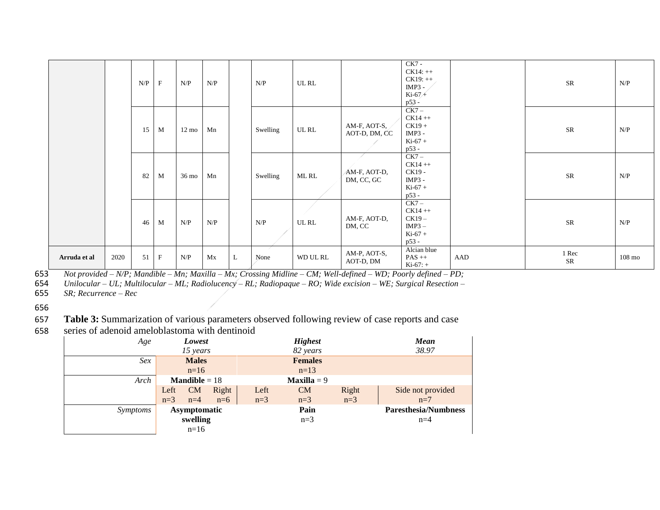|              |      | N/P | $\mathbf F$ | N/P             | N/P |   | N/P      | UL RL     |                               | $CK7 -$<br>$CK14:++$<br>$CK19:++$<br>$IMP3 -$<br>$Ki-67+$<br>$p53 -$ |     | ${\sf SR}$          | N/P              |
|--------------|------|-----|-------------|-----------------|-----|---|----------|-----------|-------------------------------|----------------------------------------------------------------------|-----|---------------------|------------------|
|              |      | 15  | M           | $12 \text{ mo}$ | Mn  |   | Swelling | UL RL     | AM-F, AOT-S,<br>AOT-D, DM, CC | $CK7 -$<br>$CK14 + +$<br>$CK19 +$<br>$IMP3 -$<br>$Ki-67 +$<br>p53 -  |     | ${\rm SR}$          | N/P              |
|              |      | 82  | M           | $36 \text{ mo}$ | Mn  |   | Swelling | ML RL     | AM-F, AOT-D,<br>DM, CC, GC    | $CK7-$<br>$CK14 + +$<br>CK19 -<br>$IMP3 -$<br>$Ki-67 +$<br>p53 -     |     | SR                  | N/P              |
|              |      | 46  | M           | N/P             | N/P |   | N/P      | $UL$ $RL$ | AM-F, AOT-D,<br>DM, CC        | $CK7 -$<br>$CK14 + +$<br>$CK19-$<br>$IMP3 -$<br>$Ki-67 +$<br>p53 -   |     | ${\sf SR}$          | N/P              |
| Arruda et al | 2020 | 51  | $\mathbf F$ | N/P             | Mx  | L | None     | WD UL RL  | AM-P, AOT-S,<br>AOT-D, DM     | Alcian blue<br>$PAS ++$<br>$Ki-67: +$                                | AAD | 1 Rec<br>${\sf SR}$ | $108 \text{ mo}$ |

653 *Not provided – N/P; Mandible – Mn; Maxilla – Mx; Crossing Midline – CM; Well-defined – WD; Poorly defined – PD;* 

654 *Unilocular – UL; Multilocular – ML; Radiolucency – RL; Radiopaque – RO; Wide excision – WE; Surgical Resection –*

655 *SR; Recurrence – Rec* 

656

657 **Table 3:** Summarization of various parameters observed following review of case reports and case

- 1

658 series of adenoid ameloblastoma with dentinoid

| Age      |                        | Lowest       |       |       | <b>Highest</b>       | <b>Mean</b> |                             |
|----------|------------------------|--------------|-------|-------|----------------------|-------------|-----------------------------|
|          |                        | 15 years     |       |       | 82 years             |             | 38.97                       |
| Sex      |                        | <b>Males</b> |       |       | <b>Females</b>       |             |                             |
|          |                        | $n=16$       |       |       | $n=13$               |             |                             |
| Arch     | <b>Mandible</b> = $18$ |              |       |       | <b>Maxilla</b> = $9$ |             |                             |
|          | Left                   | CM           | Right | Left  | <b>CM</b>            | Right       | Side not provided           |
|          | $n=3$                  | $n=4$        | $n=6$ | $n=3$ | $n=3$                | $n=3$       | $n=7$                       |
| Symptoms | Asymptomatic           |              |       |       | Pain                 |             | <b>Paresthesia/Numbness</b> |
|          |                        | swelling     |       |       | $n=3$                |             | $n=4$                       |
|          |                        | $n=16$       |       |       |                      |             |                             |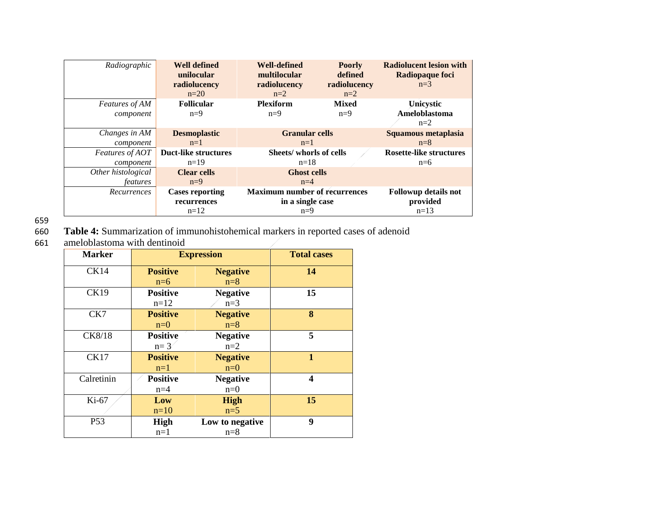| Radiographic          | <b>Well defined</b><br>unilocular<br>radiolucency<br>$n=20$ | <b>Well-defined</b><br><b>Poorly</b><br>defined<br>multilocular<br>radiolucency<br>radiolucency<br>$n=2$<br>$n=2$ |                                | <b>Radiolucent lesion with</b><br>Radiopaque foci<br>$n=3$ |
|-----------------------|-------------------------------------------------------------|-------------------------------------------------------------------------------------------------------------------|--------------------------------|------------------------------------------------------------|
| <b>Features of AM</b> | <b>Follicular</b>                                           | <b>Plexiform</b>                                                                                                  | <b>Mixed</b>                   | <b>Unicystic</b>                                           |
| component             | $n=9$                                                       | $n=9$                                                                                                             | $n=9$                          | Ameloblastoma<br>$n=2$                                     |
| Changes in AM         | <b>Desmoplastic</b>                                         | <b>Granular cells</b>                                                                                             |                                | Squamous metaplasia                                        |
| component             | $n=1$                                                       | $n=1$                                                                                                             |                                | $n=8$                                                      |
| Features of AOT       | <b>Duct-like structures</b>                                 | Sheets/ whorls of cells                                                                                           | <b>Rosette-like structures</b> |                                                            |
| component             | $n=19$                                                      | $n=18$                                                                                                            |                                | $n=6$                                                      |
| Other histological    | <b>Clear cells</b>                                          | <b>Ghost cells</b>                                                                                                |                                |                                                            |
| features              | $n=9$                                                       | $n=4$                                                                                                             |                                |                                                            |
| Recurrences           | <b>Cases reporting</b>                                      | <b>Maximum number of recurrences</b>                                                                              |                                | Followup details not                                       |
|                       | recurrences                                                 | in a single case                                                                                                  |                                | provided                                                   |
|                       | $n=12$                                                      | $n=9$                                                                                                             |                                | $n=13$                                                     |

659<br>660

660 **Table 4:** Summarization of immunohistohemical markers in reported cases of adenoid

ameloblastoma with dentinoid

| <b>Marker</b>   |                 | <b>Expression</b> | <b>Total cases</b> |
|-----------------|-----------------|-------------------|--------------------|
| <b>CK14</b>     | <b>Positive</b> | <b>Negative</b>   | 14                 |
|                 | $n=6$           | $n=8$             |                    |
| <b>CK19</b>     | <b>Positive</b> | <b>Negative</b>   | 15                 |
|                 | $n=12$          | $n=3$             |                    |
| CK7             | <b>Positive</b> | <b>Negative</b>   | 8                  |
|                 | $n=0$           | $n=8$             |                    |
| CK8/18          | <b>Positive</b> | <b>Negative</b>   | 5                  |
|                 | $n=3$           | $n=2$             |                    |
| <b>CK17</b>     | <b>Positive</b> | <b>Negative</b>   | $\mathbf{1}$       |
|                 | $n=1$           | $n=0$             |                    |
| Calretinin      | <b>Positive</b> | <b>Negative</b>   | 4                  |
|                 | $n=4$           | $n=0$             |                    |
| Ki-67           | Low             | <b>High</b>       | 15                 |
|                 | $n=10$          | $n=5$             |                    |
| P <sub>53</sub> | High            | Low to negative   | 9                  |
|                 | $n=1$           | $n=8$             |                    |